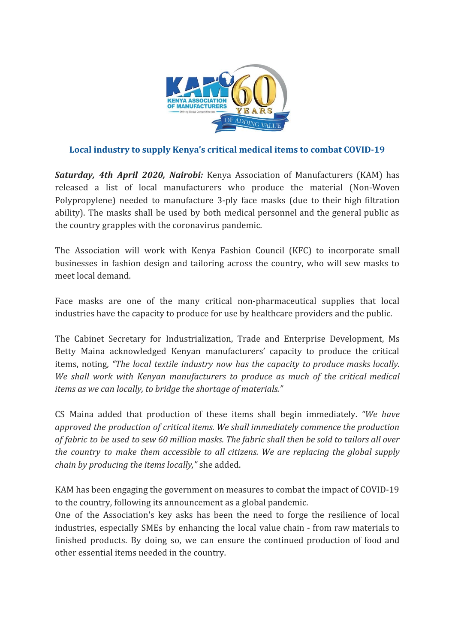

## **Local industry to supply Kenya's critical medical items to combat COVID-19**

*Saturday, 4th April 2020, Nairobi:* Kenya Association of Manufacturers (KAM) has released a list of local manufacturers who produce the material (Non-Woven Polypropylene) needed to manufacture 3-ply face masks (due to their high filtration ability). The masks shall be used by both medical personnel and the general public as the country grapples with the coronavirus pandemic.

The Association will work with Kenya Fashion Council (KFC) to incorporate small businesses in fashion design and tailoring across the country, who will sew masks to meet local demand.

Face masks are one of the many critical non-pharmaceutical supplies that local industries have the capacity to produce for use by healthcare providers and the public.

The Cabinet Secretary for Industrialization, Trade and Enterprise Development, Ms Betty Maina acknowledged Kenyan manufacturers' capacity to produce the critical items, noting, *"The local textile industry now has the capacity to produce masks locally. We shall work with Kenyan manufacturers to produce as much of the critical medical items as we can locally, to bridge the shortage of materials."*

CS Maina added that production of these items shall begin immediately. *"We have approved the production of critical items. We shall immediately commence the production* of fabric to be used to sew 60 million masks. The fabric shall then be sold to tailors all over *the country to make them accessible to all citizens. We are replacing the global supply chain by producing the items locally,"* she added.

KAM has been engaging the government on measures to combat the impact of COVID-19 to the country, following its announcement as a global pandemic.

One of the Association's key asks has been the need to forge the resilience of local industries, especially SMEs by enhancing the local value chain - from raw materials to finished products. By doing so, we can ensure the continued production of food and other essential items needed in the country.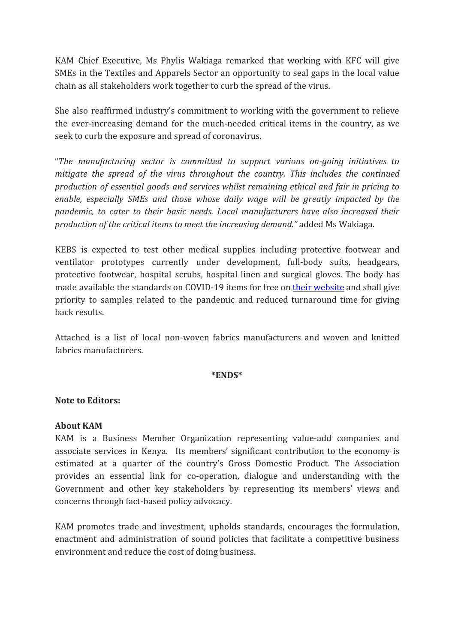KAM Chief Executive, Ms Phylis Wakiaga remarked that working with KFC will give SMEs in the Textiles and Apparels Sector an opportunity to seal gaps in the local value chain as all stakeholders work together to curb the spread of the virus.

She also reaffirmed industry's commitment to working with the government to relieve the ever-increasing demand for the much-needed critical items in the country, as we seek to curb the exposure and spread of coronavirus.

"*The manufacturing sector is committed to support various on-going initiatives to mitigate the spread of the virus throughout the country. This includes the continued production of essential goods and services whilst remaining ethical and fair in pricing to enable, especially SMEs and those whose daily wage will be greatly impacted by the pandemic, to cater to their basic needs. Local manufacturers have also increased their production of the critical items to meet the increasing demand."* added Ms Wakiaga.

KEBS is expected to test other medical supplies including protective footwear and ventilator prototypes currently under development, full-body suits, headgears, protective footwear, hospital scrubs, hospital linen and surgical gloves. The body has made available the standards on COVID-19 items for free on their [website](https://www.kebs.org/index.php?option=com_content&view=article&id=659:approved-standards-related-to-covid-19&catid=26:news&Itemid=178) and shall give priority to samples related to the pandemic and reduced turnaround time for giving back results.

Attached is a list of local non-woven fabrics manufacturers and woven and knitted fabrics manufacturers.

#### **\*ENDS\***

### **Note to Editors:**

### **About KAM**

KAM is a Business Member Organization representing value-add companies and associate services in Kenya. Its members' significant contribution to the economy is estimated at a quarter of the country's Gross Domestic Product. The Association provides an essential link for co-operation, dialogue and understanding with the Government and other key stakeholders by representing its members' views and concerns through fact-based policy advocacy.

KAM promotes trade and investment, upholds standards, encourages the formulation, enactment and administration of sound policies that facilitate a competitive business environment and reduce the cost of doing business.